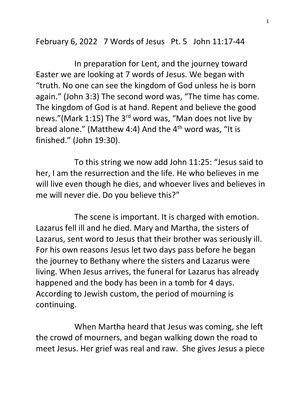February 6, 2022 7 Words of Jesus Pt. 5 John 11:17-44

 In preparation for Lent, and the journey toward Easter we are looking at 7 words of Jesus. We began with "truth. No one can see the kingdom of God unless he is born again." (John 3:3) The second word was, "The time has come. The kingdom of God is at hand. Repent and believe the good news."(Mark 1:15) The 3<sup>rd</sup> word was, "Man does not live by bread alone." (Matthew 4:4) And the  $4<sup>th</sup>$  word was, "It is finished." (John 19:30).

 To this string we now add John 11:25: "Jesus said to her, I am the resurrection and the life. He who believes in me will live even though he dies, and whoever lives and believes in me will never die. Do you believe this?"

 The scene is important. It is charged with emotion. Lazarus fell ill and he died. Mary and Martha, the sisters of Lazarus, sent word to Jesus that their brother was seriously ill. For his own reasons Jesus let two days pass before he began the journey to Bethany where the sisters and Lazarus were living. When Jesus arrives, the funeral for Lazarus has already happened and the body has been in a tomb for 4 days. According to Jewish custom, the period of mourning is continuing.

 When Martha heard that Jesus was coming, she left the crowd of mourners, and began walking down the road to meet Jesus. Her grief was real and raw. She gives Jesus a piece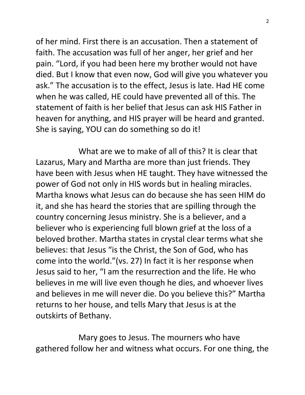of her mind. First there is an accusation. Then a statement of faith. The accusation was full of her anger, her grief and her pain. "Lord, if you had been here my brother would not have died. But I know that even now, God will give you whatever you ask." The accusation is to the effect, Jesus is late. Had HE come when he was called, HE could have prevented all of this. The statement of faith is her belief that Jesus can ask HIS Father in heaven for anything, and HIS prayer will be heard and granted. She is saying, YOU can do something so do it!

 What are we to make of all of this? It is clear that Lazarus, Mary and Martha are more than just friends. They have been with Jesus when HE taught. They have witnessed the power of God not only in HIS words but in healing miracles. Martha knows what Jesus can do because she has seen HIM do it, and she has heard the stories that are spilling through the country concerning Jesus ministry. She is a believer, and a believer who is experiencing full blown grief at the loss of a beloved brother. Martha states in crystal clear terms what she believes: that Jesus "is the Christ, the Son of God, who has come into the world."(vs. 27) In fact it is her response when Jesus said to her, "I am the resurrection and the life. He who believes in me will live even though he dies, and whoever lives and believes in me will never die. Do you believe this?" Martha returns to her house, and tells Mary that Jesus is at the outskirts of Bethany.

 Mary goes to Jesus. The mourners who have gathered follow her and witness what occurs. For one thing, the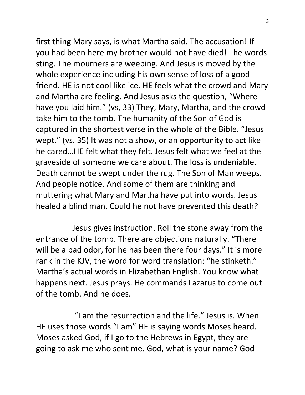first thing Mary says, is what Martha said. The accusation! If you had been here my brother would not have died! The words sting. The mourners are weeping. And Jesus is moved by the whole experience including his own sense of loss of a good friend. HE is not cool like ice. HE feels what the crowd and Mary and Martha are feeling. And Jesus asks the question, "Where have you laid him." (vs, 33) They, Mary, Martha, and the crowd take him to the tomb. The humanity of the Son of God is captured in the shortest verse in the whole of the Bible. "Jesus wept." (vs. 35) It was not a show, or an opportunity to act like he cared…HE felt what they felt. Jesus felt what we feel at the graveside of someone we care about. The loss is undeniable. Death cannot be swept under the rug. The Son of Man weeps. And people notice. And some of them are thinking and muttering what Mary and Martha have put into words. Jesus healed a blind man. Could he not have prevented this death?

 Jesus gives instruction. Roll the stone away from the entrance of the tomb. There are objections naturally. "There will be a bad odor, for he has been there four days." It is more rank in the KJV, the word for word translation: "he stinketh." Martha's actual words in Elizabethan English. You know what happens next. Jesus prays. He commands Lazarus to come out of the tomb. And he does.

 "I am the resurrection and the life." Jesus is. When HE uses those words "I am" HE is saying words Moses heard. Moses asked God, if I go to the Hebrews in Egypt, they are going to ask me who sent me. God, what is your name? God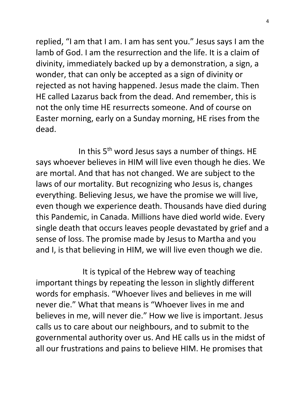replied, "I am that I am. I am has sent you." Jesus says I am the lamb of God. I am the resurrection and the life. It is a claim of divinity, immediately backed up by a demonstration, a sign, a wonder, that can only be accepted as a sign of divinity or rejected as not having happened. Jesus made the claim. Then HE called Lazarus back from the dead. And remember, this is not the only time HE resurrects someone. And of course on Easter morning, early on a Sunday morning, HE rises from the dead.

In this 5<sup>th</sup> word Jesus says a number of things. HE says whoever believes in HIM will live even though he dies. We are mortal. And that has not changed. We are subject to the laws of our mortality. But recognizing who Jesus is, changes everything. Believing Jesus, we have the promise we will live, even though we experience death. Thousands have died during this Pandemic, in Canada. Millions have died world wide. Every single death that occurs leaves people devastated by grief and a sense of loss. The promise made by Jesus to Martha and you and I, is that believing in HIM, we will live even though we die.

 It is typical of the Hebrew way of teaching important things by repeating the lesson in slightly different words for emphasis. "Whoever lives and believes in me will never die." What that means is "Whoever lives in me and believes in me, will never die." How we live is important. Jesus calls us to care about our neighbours, and to submit to the governmental authority over us. And HE calls us in the midst of all our frustrations and pains to believe HIM. He promises that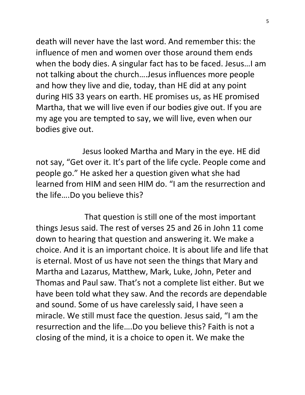death will never have the last word. And remember this: the influence of men and women over those around them ends when the body dies. A singular fact has to be faced. Jesus…I am not talking about the church….Jesus influences more people and how they live and die, today, than HE did at any point during HIS 33 years on earth. HE promises us, as HE promised Martha, that we will live even if our bodies give out. If you are my age you are tempted to say, we will live, even when our bodies give out.

 Jesus looked Martha and Mary in the eye. HE did not say, "Get over it. It's part of the life cycle. People come and people go." He asked her a question given what she had learned from HIM and seen HIM do. "I am the resurrection and the life….Do you believe this?

 That question is still one of the most important things Jesus said. The rest of verses 25 and 26 in John 11 come down to hearing that question and answering it. We make a choice. And it is an important choice. It is about life and life that is eternal. Most of us have not seen the things that Mary and Martha and Lazarus, Matthew, Mark, Luke, John, Peter and Thomas and Paul saw. That's not a complete list either. But we have been told what they saw. And the records are dependable and sound. Some of us have carelessly said, I have seen a miracle. We still must face the question. Jesus said, "I am the resurrection and the life….Do you believe this? Faith is not a closing of the mind, it is a choice to open it. We make the